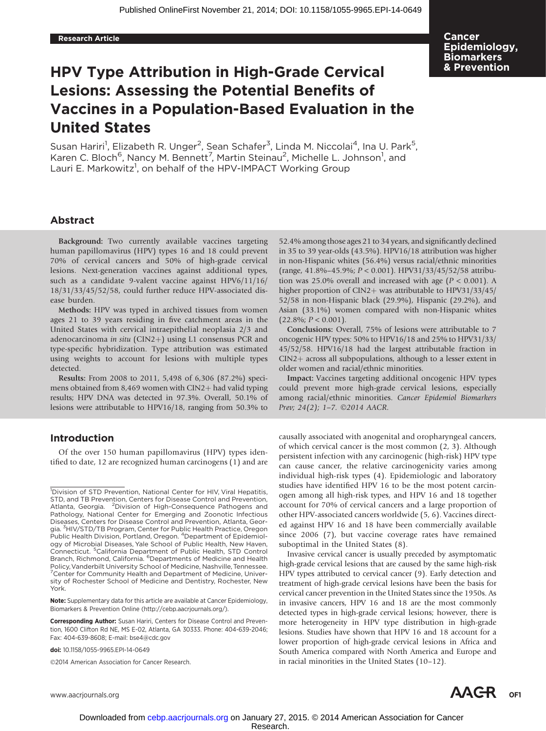Cancer Epidemiology, **Biomarkers** & Prevention

# HPV Type Attribution in High-Grade Cervical Lesions: Assessing the Potential Benefits of Vaccines in a Population-Based Evaluation in the United States

Susan Hariri<sup>1</sup>, Elizabeth R. Unger<sup>2</sup>, Sean Schafer<sup>3</sup>, Linda M. Niccolai<sup>4</sup>, Ina U. Park<sup>5</sup>, Karen C. Bloch<sup>6</sup>, Nancy M. Bennett<sup>7</sup>, Martin Steinau<sup>2</sup>, Michelle L. Johnson<sup>1</sup>, and Lauri E. Markowitz<sup>1</sup>, on behalf of the HPV-IMPACT Working Group

# Abstract

Background: Two currently available vaccines targeting human papillomavirus (HPV) types 16 and 18 could prevent 70% of cervical cancers and 50% of high-grade cervical lesions. Next-generation vaccines against additional types, such as a candidate 9-valent vaccine against HPV6/11/16/ 18/31/33/45/52/58, could further reduce HPV-associated disease burden.

Methods: HPV was typed in archived tissues from women ages 21 to 39 years residing in five catchment areas in the United States with cervical intraepithelial neoplasia 2/3 and adenocarcinoma in situ (CIN2+) using L1 consensus PCR and type-specific hybridization. Type attribution was estimated using weights to account for lesions with multiple types detected.

Results: From 2008 to 2011, 5,498 of 6,306 (87.2%) specimens obtained from 8,469 women with  $CIN2+$  had valid typing results; HPV DNA was detected in 97.3%. Overall, 50.1% of lesions were attributable to HPV16/18, ranging from 50.3% to

# Introduction

Of the over 150 human papillomavirus (HPV) types identified to date, 12 are recognized human carcinogens (1) and are

Note: Supplementary data for this article are available at Cancer Epidemiology, Biomarkers & Prevention Online (http://cebp.aacrjournals.org/).

@2014 American Association for Cancer Research.

52.4% among those ages 21 to 34 years, and significantly declined in 35 to 39 year-olds (43.5%). HPV16/18 attribution was higher in non-Hispanic whites (56.4%) versus racial/ethnic minorities (range, 41.8%–45.9%; P < 0.001). HPV31/33/45/52/58 attribution was 25.0% overall and increased with age ( $P < 0.001$ ). A higher proportion of CIN2+ was attributable to HPV31/33/45/ 52/58 in non-Hispanic black (29.9%), Hispanic (29.2%), and Asian (33.1%) women compared with non-Hispanic whites  $(22.8\%; P < 0.001).$ 

Conclusions: Overall, 75% of lesions were attributable to 7 oncogenic HPV types: 50% to HPV16/18 and 25% to HPV31/33/ 45/52/58. HPV16/18 had the largest attributable fraction in  $CIN2$  across all subpopulations, although to a lesser extent in older women and racial/ethnic minorities.

Impact: Vaccines targeting additional oncogenic HPV types could prevent more high-grade cervical lesions, especially among racial/ethnic minorities. Cancer Epidemiol Biomarkers Prev; 24(2); 1-7.  $\odot$ 2014 AACR.

causally associated with anogenital and oropharyngeal cancers, of which cervical cancer is the most common (2, 3). Although persistent infection with any carcinogenic (high-risk) HPV type can cause cancer, the relative carcinogenicity varies among individual high-risk types (4). Epidemiologic and laboratory studies have identified HPV 16 to be the most potent carcinogen among all high-risk types, and HPV 16 and 18 together account for 70% of cervical cancers and a large proportion of other HPV-associated cancers worldwide (5, 6). Vaccines directed against HPV 16 and 18 have been commercially available since 2006 (7), but vaccine coverage rates have remained suboptimal in the United States (8).

Invasive cervical cancer is usually preceded by asymptomatic high-grade cervical lesions that are caused by the same high-risk HPV types attributed to cervical cancer (9). Early detection and treatment of high-grade cervical lesions have been the basis for cervical cancer prevention in the United States since the 1950s. As in invasive cancers, HPV 16 and 18 are the most commonly detected types in high-grade cervical lesions; however, there is more heterogeneity in HPV type distribution in high-grade lesions. Studies have shown that HPV 16 and 18 account for a lower proportion of high-grade cervical lesions in Africa and South America compared with North America and Europe and in racial minorities in the United States (10–12).

<sup>&</sup>lt;sup>1</sup>Division of STD Prevention, National Center for HIV, Viral Hepatitis, STD, and TB Prevention, Centers for Disease Control and Prevention, Atlanta, Georgia. <sup>2</sup> Division of High-Consequence Pathogens and Pathology, National Center for Emerging and Zoonotic Infectious Diseases, Centers for Disease Control and Prevention, Atlanta, Georgia. <sup>3</sup>HIV/STD/TB Program, Center for Public Health Practice, Oregon Public Health Division, Portland, Oregon. <sup>4</sup> Department of Epidemiology of Microbial Diseases, Yale School of Public Health, New Haven, Connecticut. <sup>5</sup> California Department of Public Health, STD Control Branch, Richmond, California. <sup>6</sup>Departments of Medicine and Health Policy,Vanderbilt University School of Medicine, Nashville, Tennessee. <sup>7</sup> Center for Community Health and Department of Medicine, University of Rochester School of Medicine and Dentistry, Rochester, New York.

Corresponding Author: Susan Hariri, Centers for Disease Control and Prevention, 1600 Clifton Rd NE, MS E-02, Atlanta, GA 30333. Phone: 404-639-2046; Fax: 404-639-8608; E-mail: bse4@cdc.gov

doi: 10.1158/1055-9965.EPI-14-0649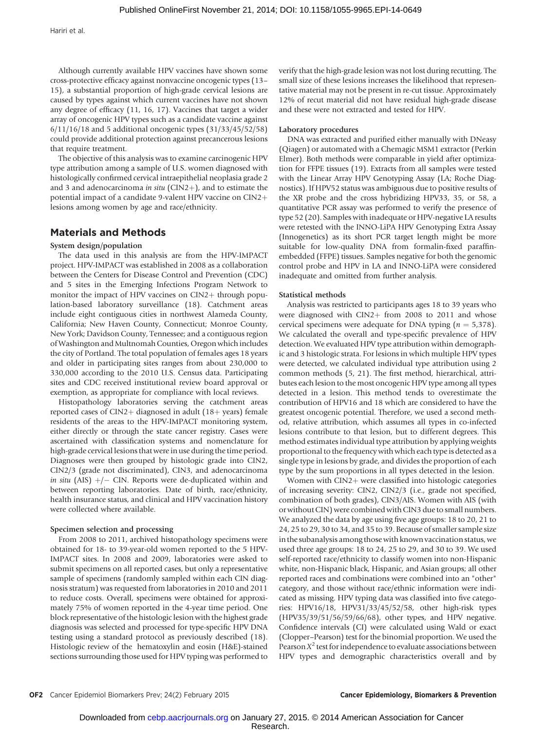Although currently available HPV vaccines have shown some cross-protective efficacy against nonvaccine oncogenic types (13– 15), a substantial proportion of high-grade cervical lesions are caused by types against which current vaccines have not shown any degree of efficacy (11, 16, 17). Vaccines that target a wider array of oncogenic HPV types such as a candidate vaccine against 6/11/16/18 and 5 additional oncogenic types (31/33/45/52/58) could provide additional protection against precancerous lesions that require treatment.

The objective of this analysis was to examine carcinogenic HPV type attribution among a sample of U.S. women diagnosed with histologically confirmed cervical intraepithelial neoplasia grade 2 and 3 and adenocarcinoma in situ (CIN2+), and to estimate the potential impact of a candidate 9-valent HPV vaccine on CIN2+ lesions among women by age and race/ethnicity.

# Materials and Methods

# System design/population

The data used in this analysis are from the HPV-IMPACT project. HPV-IMPACT was established in 2008 as a collaboration between the Centers for Disease Control and Prevention (CDC) and 5 sites in the Emerging Infections Program Network to monitor the impact of HPV vaccines on CIN2+ through population-based laboratory surveillance (18). Catchment areas include eight contiguous cities in northwest Alameda County, California; New Haven County, Connecticut; Monroe County, New York; Davidson County, Tennessee; and a contiguous region of Washington and Multnomah Counties, Oregon which includes the city of Portland. The total population of females ages 18 years and older in participating sites ranges from about 230,000 to 330,000 according to the 2010 U.S. Census data. Participating sites and CDC received institutional review board approval or exemption, as appropriate for compliance with local reviews.

Histopathology laboratories serving the catchment areas reported cases of CIN2+ diagnosed in adult (18+ years) female residents of the areas to the HPV-IMPACT monitoring system, either directly or through the state cancer registry. Cases were ascertained with classification systems and nomenclature for high-grade cervical lesions that were in use during the time period. Diagnoses were then grouped by histologic grade into CIN2, CIN2/3 (grade not discriminated), CIN3, and adenocarcinoma in situ (AIS)  $+/-$  CIN. Reports were de-duplicated within and between reporting laboratories. Date of birth, race/ethnicity, health insurance status, and clinical and HPV vaccination history were collected where available.

#### Specimen selection and processing

From 2008 to 2011, archived histopathology specimens were obtained for 18- to 39-year-old women reported to the 5 HPV-IMPACT sites. In 2008 and 2009, laboratories were asked to submit specimens on all reported cases, but only a representative sample of specimens (randomly sampled within each CIN diagnosis stratum) was requested from laboratories in 2010 and 2011 to reduce costs. Overall, specimens were obtained for approximately 75% of women reported in the 4-year time period. One block representative of the histologic lesion with the highest grade diagnosis was selected and processed for type-specific HPV DNA testing using a standard protocol as previously described (18). Histologic review of the hematoxylin and eosin (H&E)-stained sections surrounding those used for HPV typing was performed to verify that the high-grade lesion was not lost during recutting. The small size of these lesions increases the likelihood that representative material may not be present in re-cut tissue. Approximately 12% of recut material did not have residual high-grade disease and these were not extracted and tested for HPV.

#### Laboratory procedures

DNA was extracted and purified either manually with DNeasy (Qiagen) or automated with a Chemagic MSM1 extractor (Perkin Elmer). Both methods were comparable in yield after optimization for FFPE tissues (19). Extracts from all samples were tested with the Linear Array HPV Genotyping Assay (LA; Roche Diagnostics). If HPV52 status was ambiguous due to positive results of the XR probe and the cross hybridizing HPV33, 35, or 58, a quantitative PCR assay was performed to verify the presence of type 52 (20). Samples with inadequate or HPV-negative LA results were retested with the INNO-LiPA HPV Genotyping Extra Assay (Innogenetics) as its short PCR target length might be more suitable for low-quality DNA from formalin-fixed paraffinembedded (FFPE) tissues. Samples negative for both the genomic control probe and HPV in LA and INNO-LiPA were considered inadequate and omitted from further analysis.

#### Statistical methods

Analysis was restricted to participants ages 18 to 39 years who were diagnosed with  $CIN2+$  from 2008 to 2011 and whose cervical specimens were adequate for DNA typing ( $n = 5,378$ ). We calculated the overall and type-specific prevalence of HPV detection. We evaluated HPV type attribution within demographic and 3 histologic strata. For lesions in which multiple HPV types were detected, we calculated individual type attribution using 2 common methods (5, 21). The first method, hierarchical, attributes each lesion to the most oncogenic HPV type among all types detected in a lesion. This method tends to overestimate the contribution of HPV16 and 18 which are considered to have the greatest oncogenic potential. Therefore, we used a second method, relative attribution, which assumes all types in co-infected lesions contribute to that lesion, but to different degrees. This method estimates individual type attribution by applying weights proportional to the frequency with which each type is detected as a single type in lesions by grade, and divides the proportion of each type by the sum proportions in all types detected in the lesion.

Women with  $CIN2$  were classified into histologic categories of increasing severity: CIN2, CIN2/3 (i.e., grade not specified, combination of both grades), CIN3/AIS. Women with AIS (with or without CIN) were combined with CIN3 due to small numbers. We analyzed the data by age using five age groups: 18 to 20, 21 to 24, 25 to 29, 30 to 34, and 35 to 39. Because of smaller sample size in the subanalysis among those with known vaccination status, we used three age groups: 18 to 24, 25 to 29, and 30 to 39. We used self-reported race/ethnicity to classify women into non-Hispanic white, non-Hispanic black, Hispanic, and Asian groups; all other reported races and combinations were combined into an "other" category, and those without race/ethnic information were indicated as missing. HPV typing data was classified into five categories: HPV16/18, HPV31/33/45/52/58, other high-risk types (HPV35/39/51/56/59/66/68), other types, and HPV negative. Confidence intervals (CI) were calculated using Wald or exact (Clopper–Pearson) test for the binomial proportion. We used the Pearson  $X^2$  test for independence to evaluate associations between HPV types and demographic characteristics overall and by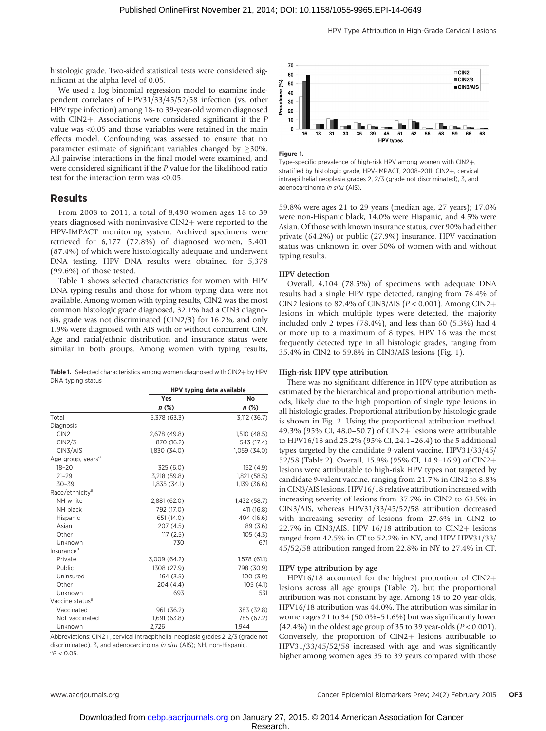histologic grade. Two-sided statistical tests were considered significant at the alpha level of 0.05.

We used a log binomial regression model to examine independent correlates of HPV31/33/45/52/58 infection (vs. other HPV type infection) among 18- to 39-year-old women diagnosed with  $CIN2+$ . Associations were considered significant if the P value was <0.05 and those variables were retained in the main effects model. Confounding was assessed to ensure that no parameter estimate of significant variables changed by  $\geq$ 30%. All pairwise interactions in the final model were examined, and were considered significant if the P value for the likelihood ratio test for the interaction term was <0.05.

# Results

From 2008 to 2011, a total of 8,490 women ages 18 to 39 years diagnosed with noninvasive  $CIN2$  were reported to the HPV-IMPACT monitoring system. Archived specimens were retrieved for 6,177 (72.8%) of diagnosed women, 5,401 (87.4%) of which were histologically adequate and underwent DNA testing. HPV DNA results were obtained for 5,378 (99.6%) of those tested.

Table 1 shows selected characteristics for women with HPV DNA typing results and those for whom typing data were not available. Among women with typing results, CIN2 was the most common histologic grade diagnosed, 32.1% had a CIN3 diagnosis, grade was not discriminated (CIN2/3) for 16.2%, and only 1.9% were diagnosed with AIS with or without concurrent CIN. Age and racial/ethnic distribution and insurance status were similar in both groups. Among women with typing results,

|                   | <b>Table 1.</b> Selected characteristics among women diagnosed with $CIN2 + by HPV$ |  |  |
|-------------------|-------------------------------------------------------------------------------------|--|--|
| DNA typing status |                                                                                     |  |  |

|                               | HPV typing data available |              |  |
|-------------------------------|---------------------------|--------------|--|
|                               | Yes<br>No                 |              |  |
|                               | $n$ (%)                   | $n$ (%)      |  |
| Total                         | 5,378 (63.3)              | 3,112 (36.7) |  |
| Diagnosis                     |                           |              |  |
| CIN <sub>2</sub>              | 2,678 (49.8)              | 1,510(48.5)  |  |
| CIN2/3                        | 870 (16.2)                | 543 (17.4)   |  |
| CIN3/AIS                      | 1,830 (34.0)              | 1,059 (34.0) |  |
| Age group, years <sup>a</sup> |                           |              |  |
| $18 - 20$                     | 325(6.0)                  | 152 (4.9)    |  |
| $21 - 29$                     | 3,218 (59.8)              | 1,821 (58.5) |  |
| $30 - 39$                     | 1.835(34.1)               | 1.139(36.6)  |  |
| Race/ethnicity <sup>a</sup>   |                           |              |  |
| NH white                      | 2,881 (62.0)              | 1,432 (58.7) |  |
| NH black                      | 792 (17.0)                | 411 (16.8)   |  |
| Hispanic                      | 651 (14.0)                | 404 (16.6)   |  |
| Asian                         | 207 (4.5)                 | 89 (3.6)     |  |
| Other                         | 117(2.5)                  | 105(4.3)     |  |
| Unknown                       | 730                       | 671          |  |
| Insurance <sup>a</sup>        |                           |              |  |
| Private                       | 3,009 (64.2)              | 1,578 (61.1) |  |
| Public                        | 1308 (27.9)               | 798 (30.9)   |  |
| Uninsured                     | 164 (3.5)                 | 100(3.9)     |  |
| Other                         | 204 (4.4)                 | 105(4.1)     |  |
| Unknown                       | 693                       | 531          |  |
| Vaccine status <sup>a</sup>   |                           |              |  |
| Vaccinated                    | 961 (36.2)                | 383 (32.8)   |  |
| Not vaccinated                | 1.691 (63.8)              | 785 (67.2)   |  |
| Unknown                       | 2,726                     | 1.944        |  |

Abbreviations:  $CIN2+$ , cervical intraepithelial neoplasia grades 2, 2/3 (grade not discriminated), 3, and adenocarcinoma in situ (AIS); NH, non-Hispanic.  ${}^{a}P < 0.05$ .





Type-specific prevalence of high-risk HPV among women with  $CIN2+$ , stratified by histologic grade, HPV-IMPACT, 2008-2011. CIN2+, cervical intraepithelial neoplasia grades 2, 2/3 (grade not discriminated), 3, and adenocarcinoma in situ (AIS).

59.8% were ages 21 to 29 years (median age, 27 years); 17.0% were non-Hispanic black, 14.0% were Hispanic, and 4.5% were Asian. Of those with known insurance status, over 90% had either private (64.2%) or public (27.9%) insurance. HPV vaccination status was unknown in over 50% of women with and without typing results.

# HPV detection

Overall, 4,104 (78.5%) of specimens with adequate DNA results had a single HPV type detected, ranging from 76.4% of CIN2 lesions to 82.4% of CIN3/AIS ( $P < 0.001$ ). Among CIN2+ lesions in which multiple types were detected, the majority included only 2 types (78.4%), and less than 60 (5.3%) had 4 or more up to a maximum of 8 types. HPV 16 was the most frequently detected type in all histologic grades, ranging from 35.4% in CIN2 to 59.8% in CIN3/AIS lesions (Fig. 1).

### High-risk HPV type attribution

There was no significant difference in HPV type attribution as estimated by the hierarchical and proportional attribution methods, likely due to the high proportion of single type lesions in all histologic grades. Proportional attribution by histologic grade is shown in Fig. 2. Using the proportional attribution method, 49.3% (95% CI, 48.0–50.7) of CIN2+ lesions were attributable to HPV16/18 and 25.2% (95% CI, 24.1–26.4) to the 5 additional types targeted by the candidate 9-valent vaccine, HPV31/33/45/ 52/58 (Table 2). Overall, 15.9% (95% CI, 14.9-16.9) of CIN2+ lesions were attributable to high-risk HPV types not targeted by candidate 9-valent vaccine, ranging from 21.7% in CIN2 to 8.8% in CIN3/AIS lesions. HPV16/18 relative attribution increased with increasing severity of lesions from 37.7% in CIN2 to 63.5% in CIN3/AIS, whereas HPV31/33/45/52/58 attribution decreased with increasing severity of lesions from 27.6% in CIN2 to 22.7% in CIN3/AIS. HPV 16/18 attribution to CIN2+ lesions ranged from 42.5% in CT to 52.2% in NY, and HPV HPV31/33/ 45/52/58 attribution ranged from 22.8% in NY to 27.4% in CT.

#### HPV type attribution by age

HPV16/18 accounted for the highest proportion of  $CIN2$ + lesions across all age groups (Table 2), but the proportional attribution was not constant by age. Among 18 to 20 year-olds, HPV16/18 attribution was 44.0%. The attribution was similar in women ages 21 to 34 (50.0%–51.6%) but was significantly lower (42.4%) in the oldest age group of 35 to 39 year-olds ( $P < 0.001$ ). Conversely, the proportion of  $CIN2+$  lesions attributable to HPV31/33/45/52/58 increased with age and was significantly higher among women ages 35 to 39 years compared with those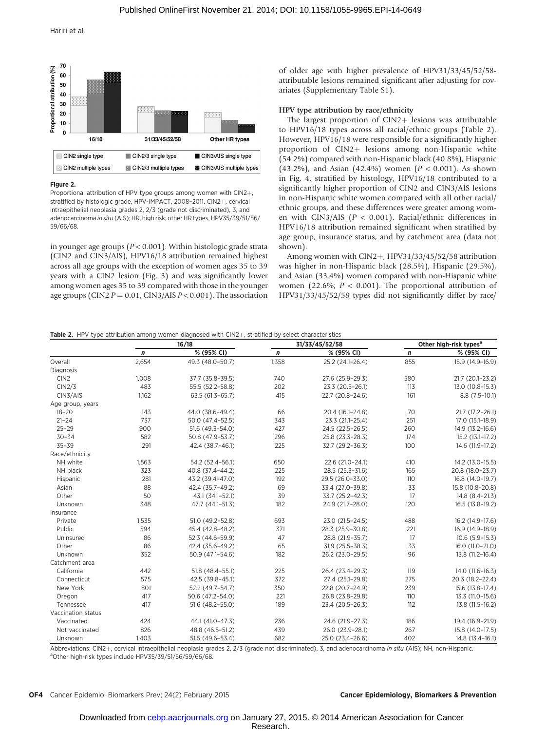

#### Figure 2.

Proportional attribution of HPV type groups among women with CIN2+, stratified by histologic grade, HPV-IMPACT, 2008-2011. CIN2+, cervical intraepithelial neoplasia grades 2, 2/3 (grade not discriminated), 3, and adenocarcinoma in situ (AIS); HR, high risk; other HR types, HPV35/39/51/56/ 59/66/68.

in younger age groups ( $P < 0.001$ ). Within histologic grade strata (CIN2 and CIN3/AIS), HPV16/18 attribution remained highest across all age groups with the exception of women ages 35 to 39 years with a CIN2 lesion (Fig. 3) and was significantly lower among women ages 35 to 39 compared with those in the younger age groups (CIN2  $P = 0.01$ , CIN3/AIS  $P < 0.001$ ). The association of older age with higher prevalence of HPV31/33/45/52/58 attributable lesions remained significant after adjusting for covariates (Supplementary Table S1).

#### HPV type attribution by race/ethnicity

The largest proportion of  $CIN2+$  lesions was attributable to HPV16/18 types across all racial/ethnic groups (Table 2). However, HPV16/18 were responsible for a significantly higher proportion of CIN2+ lesions among non-Hispanic white (54.2%) compared with non-Hispanic black (40.8%), Hispanic (43.2%), and Asian (42.4%) women ( $P < 0.001$ ). As shown in Fig. 4, stratified by histology, HPV16/18 contributed to a significantly higher proportion of CIN2 and CIN3/AIS lesions in non-Hispanic white women compared with all other racial/ ethnic groups, and these differences were greater among women with CIN3/AIS (P < 0.001). Racial/ethnic differences in HPV16/18 attribution remained significant when stratified by age group, insurance status, and by catchment area (data not shown).

Among women with CIN2+, HPV31/33/45/52/58 attribution was higher in non-Hispanic black (28.5%), Hispanic (29.5%), and Asian (33.4%) women compared with non-Hispanic white women (22.6%;  $P < 0.001$ ). The proportional attribution of HPV31/33/45/52/58 types did not significantly differ by race/

## **Table 2.** HPV type attribution among women diagnosed with  $CIN2+$  stratified by select characteristics

|                    | 16/18            |                  | 31/33/45/52/58 |                     | Other high-risk types <sup>a</sup> |                  |
|--------------------|------------------|------------------|----------------|---------------------|------------------------------------|------------------|
|                    | $\boldsymbol{n}$ | % (95% CI)       | n              | % (95% CI)          | $\mathbf n$                        | % (95% CI)       |
| Overall            | 2,654            | 49.3 (48.0-50.7) | 1,358          | 25.2 (24.1-26.4)    | 855                                | 15.9 (14.9-16.9) |
| Diagnosis          |                  |                  |                |                     |                                    |                  |
| CIN <sub>2</sub>   | 1,008            | 37.7 (35.8-39.5) | 740            | 27.6 (25.9-29.3)    | 580                                | 21.7 (20.1-23.2) |
| CIN2/3             | 483              | 55.5 (52.2-58.8) | 202            | 23.3 (20.5-26.1)    | 113                                | 13.0 (10.8-15.3) |
| CIN3/AIS           | 1,162            | 63.5 (61.3-65.7) | 415            | 22.7 (20.8-24.6)    | 161                                | $8.8(7.5-10.1)$  |
| Age group, years   |                  |                  |                |                     |                                    |                  |
| $18 - 20$          | 143              | 44.0 (38.6-49.4) | 66             | 20.4 (16.1-24.8)    | 70                                 | 21.7 (17.2-26.1) |
| $21 - 24$          | 737              | 50.0 (47.4-52.5) | 343            | 23.3 (21.1-25.4)    | 251                                | 17.0 (15.1-18.9) |
| $25 - 29$          | 900              | 51.6 (49.3-54.0) | 427            | 24.5 (22.5-26.5)    | 260                                | 14.9 (13.2-16.6) |
| $30 - 34$          | 582              | 50.8 (47.9-53.7) | 296            | 25.8 (23.3-28.3)    | 174                                | 15.2 (13.1-17.2) |
| $35 - 39$          | 291              | 42.4 (38.7-46.1) | 225            | 32.7 (29.2-36.3)    | 100                                | 14.6 (11.9-17.2) |
| Race/ethnicity     |                  |                  |                |                     |                                    |                  |
| NH white           | 1,563            | 54.2 (52.4-56.1) | 650            | 22.6 (21.0-24.1)    | 410                                | 14.2 (13.0-15.5) |
| NH black           | 323              | 40.8 (37.4-44.2) | 225            | $28.5(25.3 - 31.6)$ | 165                                | 20.8 (18.0-23.7) |
| Hispanic           | 281              | 43.2 (39.4-47.0) | 192            | 29.5 (26.0-33.0)    | 110                                | 16.8 (14.0-19.7) |
| Asian              | 88               | 42.4 (35.7-49.2) | 69             | 33.4 (27.0-39.8)    | 33                                 | 15.8 (10.8-20.8) |
| Other              | 50               | 43.1 (34.1-52.1) | 39             | 33.7 (25.2-42.3)    | 17                                 | 14.8 (8.4-21.3)  |
| <b>Unknown</b>     | 348              | 47.7 (44.1-51.3) | 182            | 24.9 (21.7-28.0)    | 120                                | 16.5 (13.8-19.2) |
| Insurance          |                  |                  |                |                     |                                    |                  |
| Private            | 1,535            | 51.0 (49.2-52.8) | 693            | 23.0 (21.5-24.5)    | 488                                | 16.2 (14.9-17.6) |
| Public             | 594              | 45.4 (42.8-48.2) | 371            | 28.3 (25.9-30.8)    | 221                                | 16.9 (14.9-18.9) |
| Uninsured          | 86               | 52.3 (44.6-59.9) | 47             | 28.8 (21.9-35.7)    | 17                                 | $10.6(5.9-15.3)$ |
| Other              | 86               | 42.4 (35.6-49.2) | 65             | $31.9(25.5 - 38.3)$ | 33                                 | 16.0 (11.0-21.0) |
| Unknown            | 352              | 50.9 (47.1-54.6) | 182            | 26.2 (23.0-29.5)    | 96                                 | 13.8 (11.2-16.4) |
| Catchment area     |                  |                  |                |                     |                                    |                  |
| California         | 442              | 51.8 (48.4-55.1) | 225            | 26.4 (23.4-29.3)    | 119                                | 14.0 (11.6-16.3) |
| Connecticut        | 575              | 42.5 (39.8-45.1) | 372            | 27.4 (25.1-29.8)    | 275                                | 20.3 (18.2-22.4) |
| New York           | 801              | 52.2 (49.7-54.7) | 350            | 22.8 (20.7-24.9)    | 239                                | 15.6 (13.8-17.4) |
| Oregon             | 417              | 50.6 (47.2-54.0) | 221            | 26.8 (23.8-29.8)    | 110                                | 13.3 (11.0-15.6) |
| Tennessee          | 417              | 51.6 (48.2-55.0) | 189            | 23.4 (20.5-26.3)    | 112                                | 13.8 (11.5-16.2) |
| Vaccination status |                  |                  |                |                     |                                    |                  |
| Vaccinated         | 424              | 44.1 (41.0-47.3) | 236            | 24.6 (21.9-27.3)    | 186                                | 19.4 (16.9-21.9) |
| Not vaccinated     | 826              | 48.8 (46.5-51.2) | 439            | 26.0 (23.9-28.1)    | 267                                | 15.8 (14.0-17.5) |
| Unknown            | 1.403            | 51.5 (49.6-53.4) | 682            | 25.0 (23.4-26.6)    | 402                                | 14.8 (13.4-16.1) |

Abbreviations: CIN2+, cervical intraepithelial neoplasia grades 2, 2/3 (grade not discriminated), 3, and adenocarcinoma in situ (AIS); NH, non-Hispanic. <sup>a</sup>Other high-risk types include HPV35/39/51/56/59/66/68.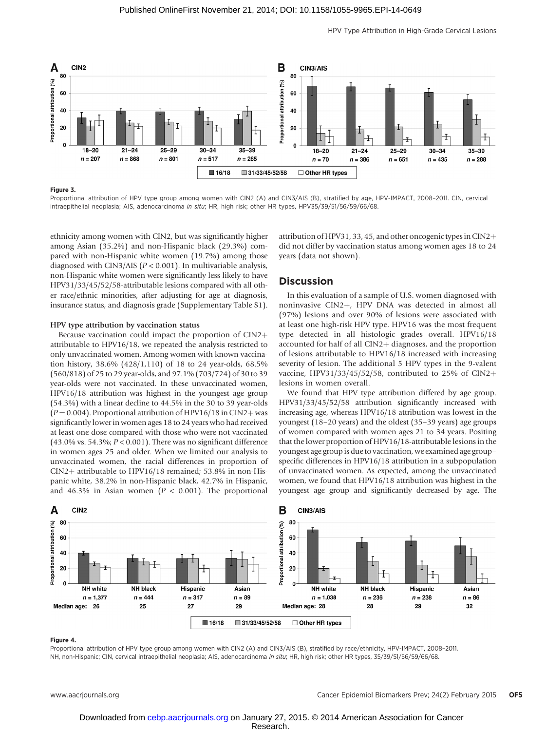

#### Figure 3.

Proportional attribution of HPV type group among women with CIN2 (A) and CIN3/AIS (B), stratified by age, HPV-IMPACT, 2008–2011. CIN, cervical intraepithelial neoplasia; AIS, adenocarcinoma in situ; HR, high risk; other HR types, HPV35/39/51/56/59/66/68.

ethnicity among women with CIN2, but was significantly higher among Asian (35.2%) and non-Hispanic black (29.3%) compared with non-Hispanic white women (19.7%) among those diagnosed with CIN3/AIS ( $P < 0.001$ ). In multivariable analysis, non-Hispanic white women were significantly less likely to have HPV31/33/45/52/58-attributable lesions compared with all other race/ethnic minorities, after adjusting for age at diagnosis, insurance status, and diagnosis grade (Supplementary Table S1).

### HPV type attribution by vaccination status

Because vaccination could impact the proportion of  $CIN2$  $+$ attributable to HPV16/18, we repeated the analysis restricted to only unvaccinated women. Among women with known vaccination history, 38.6% (428/1,110) of 18 to 24 year-olds, 68.5% (560/818) of 25 to 29 year-olds, and 97.1% (703/724) of 30 to 39 year-olds were not vaccinated. In these unvaccinated women, HPV16/18 attribution was highest in the youngest age group (54.3%) with a linear decline to 44.5% in the 30 to 39 year-olds  $(P = 0.004)$ . Proportional attribution of HPV16/18 in CIN2+ was significantly lower in women ages 18 to 24 years who had received at least one dose compared with those who were not vaccinated (43.0% vs. 54.3%;  $P < 0.001$ ). There was no significant difference in women ages 25 and older. When we limited our analysis to unvaccinated women, the racial differences in proportion of  $CIN2+$  attributable to HPV16/18 remained; 53.8% in non-Hispanic white, 38.2% in non-Hispanic black, 42.7% in Hispanic, and 46.3% in Asian women ( $P < 0.001$ ). The proportional

attribution of HPV31, 33, 45, and other oncogenic types in CIN2+ did not differ by vaccination status among women ages 18 to 24 years (data not shown).

# Discussion

In this evaluation of a sample of U.S. women diagnosed with noninvasive CIN2+, HPV DNA was detected in almost all (97%) lesions and over 90% of lesions were associated with at least one high-risk HPV type. HPV16 was the most frequent type detected in all histologic grades overall. HPV16/18 accounted for half of all  $CIN2+$  diagnoses, and the proportion of lesions attributable to HPV16/18 increased with increasing severity of lesion. The additional 5 HPV types in the 9-valent vaccine, HPV31/33/45/52/58, contributed to 25% of CIN2+ lesions in women overall.

We found that HPV type attribution differed by age group. HPV31/33/45/52/58 attribution significantly increased with increasing age, whereas HPV16/18 attribution was lowest in the youngest (18–20 years) and the oldest (35–39 years) age groups of women compared with women ages 21 to 34 years. Positing that the lower proportion of HPV16/18-attributable lesions in the youngest age group is due to vaccination, we examined age group– specific differences in HPV16/18 attribution in a subpopulation of unvaccinated women. As expected, among the unvaccinated women, we found that HPV16/18 attribution was highest in the youngest age group and significantly decreased by age. The



#### Figure 4.

Proportional attribution of HPV type group among women with CIN2 (A) and CIN3/AIS (B), stratified by race/ethnicity, HPV-IMPACT, 2008–2011. NH, non-Hispanic; CIN, cervical intraepithelial neoplasia; AIS, adenocarcinoma in situ; HR, high risk; other HR types, 35/39/51/56/59/66/68.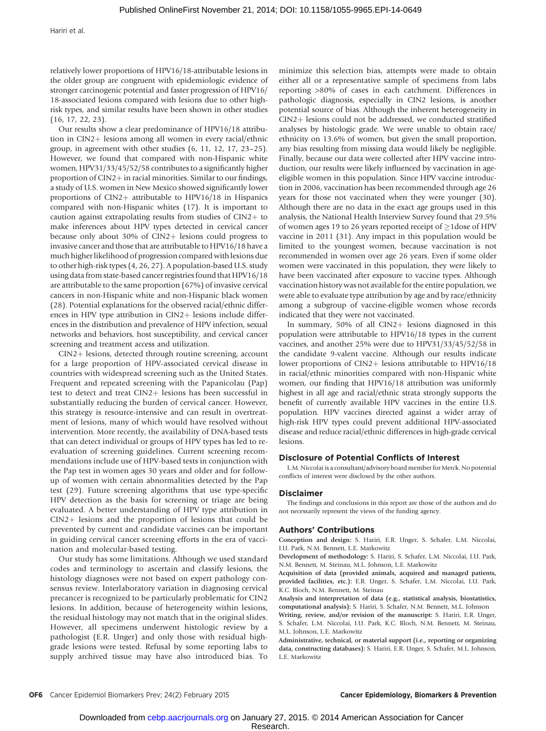Hariri et al.

relatively lower proportions of HPV16/18-attributable lesions in the older group are congruent with epidemiologic evidence of stronger carcinogenic potential and faster progression of HPV16/ 18-associated lesions compared with lesions due to other highrisk types, and similar results have been shown in other studies (16, 17, 22, 23).

Our results show a clear predominance of HPV16/18 attribution in CIN2+ lesions among all women in every racial/ethnic group, in agreement with other studies (6, 11, 12, 17, 23–25). However, we found that compared with non-Hispanic white women, HPV31/33/45/52/58 contributes to a significantly higher proportion of  $CIN2$  in racial minorities. Similar to our findings, a study of U.S. women in New Mexico showed significantly lower proportions of  $CIN2+$  attributable to  $HPV16/18$  in Hispanics compared with non-Hispanic whites (17). It is important to caution against extrapolating results from studies of  $CIN2+$  to make inferences about HPV types detected in cervical cancer because only about 30% of CIN2+ lesions could progress to invasive cancer and those that are attributable to HPV16/18 have a much higher likelihood of progression compared with lesions due to other high-risk types (4, 26, 27). A population-based U.S. study using data from state-based cancer registries found that HPV16/18 are attributable to the same proportion (67%) of invasive cervical cancers in non-Hispanic white and non-Hispanic black women (28). Potential explanations for the observed racial/ethnic differences in HPV type attribution in  $CIN2$  lesions include differences in the distribution and prevalence of HPV infection, sexual networks and behaviors, host susceptibility, and cervical cancer screening and treatment access and utilization.

 $CIN2$  lesions, detected through routine screening, account for a large proportion of HPV-associated cervical disease in countries with widespread screening such as the United States. Frequent and repeated screening with the Papanicolau (Pap) test to detect and treat CIN2+ lesions has been successful in substantially reducing the burden of cervical cancer. However, this strategy is resource-intensive and can result in overtreatment of lesions, many of which would have resolved without intervention. More recently, the availability of DNA-based tests that can detect individual or groups of HPV types has led to reevaluation of screening guidelines. Current screening recommendations include use of HPV-based tests in conjunction with the Pap test in women ages 30 years and older and for followup of women with certain abnormalities detected by the Pap test (29). Future screening algorithms that use type-specific HPV detection as the basis for screening or triage are being evaluated. A better understanding of HPV type attribution in  $CIN2+$  lesions and the proportion of lesions that could be prevented by current and candidate vaccines can be important in guiding cervical cancer screening efforts in the era of vaccination and molecular-based testing.

Our study has some limitations. Although we used standard codes and terminology to ascertain and classify lesions, the histology diagnoses were not based on expert pathology consensus review. Interlaboratory variation in diagnosing cervical precancer is recognized to be particularly problematic for CIN2 lesions. In addition, because of heterogeneity within lesions, the residual histology may not match that in the original slides. However, all specimens underwent histologic review by a pathologist (E.R. Unger) and only those with residual highgrade lesions were tested. Refusal by some reporting labs to supply archived tissue may have also introduced bias. To

minimize this selection bias, attempts were made to obtain either all or a representative sample of specimens from labs reporting >80% of cases in each catchment. Differences in pathologic diagnosis, especially in CIN2 lesions, is another potential source of bias. Although the inherent heterogeneity in  $CIN2+$  lesions could not be addressed, we conducted stratified analyses by histologic grade. We were unable to obtain race/ ethnicity on 13.6% of women, but given the small proportion, any bias resulting from missing data would likely be negligible. Finally, because our data were collected after HPV vaccine introduction, our results were likely influenced by vaccination in ageeligible women in this population. Since HPV vaccine introduction in 2006, vaccination has been recommended through age 26 years for those not vaccinated when they were younger (30). Although there are no data in the exact age groups used in this analysis, the National Health Interview Survey found that 29.5% of women ages 19 to 26 years reported receipt of  $\geq$ 1dose of HPV vaccine in 2011 (31). Any impact in this population would be limited to the youngest women, because vaccination is not recommended in women over age 26 years. Even if some older women were vaccinated in this population, they were likely to have been vaccinated after exposure to vaccine types. Although vaccination history was not available for the entire population, we were able to evaluate type attribution by age and by race/ethnicity among a subgroup of vaccine-eligible women whose records indicated that they were not vaccinated.

In summary,  $50\%$  of all CIN2+ lesions diagnosed in this population were attributable to HPV16/18 types in the current vaccines, and another 25% were due to HPV31/33/45/52/58 in the candidate 9-valent vaccine. Although our results indicate lower proportions of  $CIN2+$  lesions attributable to  $HPV16/18$ in racial/ethnic minorities compared with non-Hispanic white women, our finding that HPV16/18 attribution was uniformly highest in all age and racial/ethnic strata strongly supports the benefit of currently available HPV vaccines in the entire U.S. population. HPV vaccines directed against a wider array of high-risk HPV types could prevent additional HPV-associated disease and reduce racial/ethnic differences in high-grade cervical lesions.

# Disclosure of Potential Conflicts of Interest

L.M. Niccolai is a consultant/advisory board member for Merck. No potential conflicts of interest were disclosed by the other authors.

#### Disclaimer

The findings and conclusions in this report are those of the authors and do not necessarily represent the views of the funding agency.

#### Authors' Contributions

Conception and design: S. Hariri, E.R. Unger, S. Schafer, L.M. Niccolai, I.U. Park, N.M. Bennett, L.E. Markowitz

Development of methodology: S. Hariri, S. Schafer, L.M. Niccolai, I.U. Park, N.M. Bennett, M. Steinau, M.L. Johnson, L.E. Markowitz

Acquisition of data (provided animals, acquired and managed patients, provided facilities, etc.): E.R. Unger, S. Schafer, L.M. Niccolai, I.U. Park, K.C. Bloch, N.M. Bennett, M. Steinau

Analysis and interpretation of data (e.g., statistical analysis, biostatistics, computational analysis): S. Hariri, S. Schafer, N.M. Bennett, M.L. Johnson

Writing, review, and/or revision of the manuscript: S. Hariri, E.R. Unger, S. Schafer, L.M. Niccolai, I.U. Park, K.C. Bloch, N.M. Bennett, M. Steinau, M.L. Johnson, L.E. Markowitz

Administrative, technical, or material support (i.e., reporting or organizing data, constructing databases): S. Hariri, E.R. Unger, S. Schafer, M.L. Johnson, L.E. Markowitz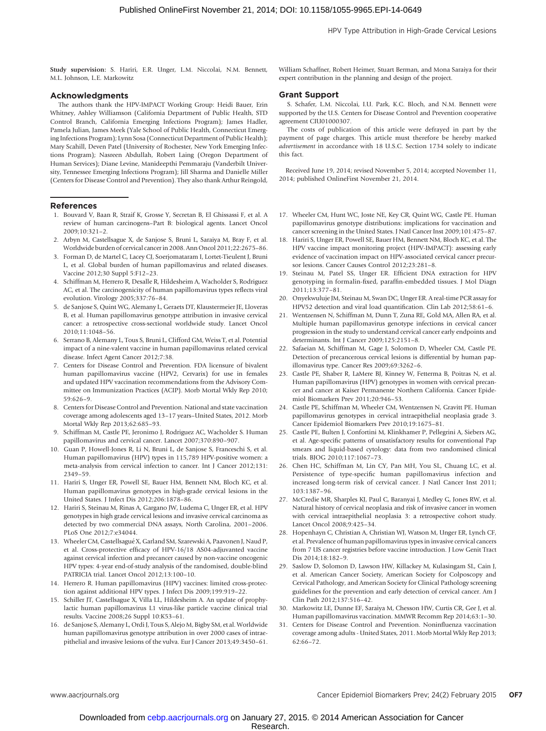Study supervision: S. Hariri, E.R. Unger, L.M. Niccolai, N.M. Bennett, M.L. Johnson, L.E. Markowitz

#### Acknowledgments

The authors thank the HPV-IMPACT Working Group: Heidi Bauer, Erin Whitney, Ashley Williamson (California Department of Public Health, STD Control Branch, California Emerging Infections Program); James Hadler, Pamela Julian, James Meek (Yale School of Public Health, Connecticut Emerging Infections Program); Lynn Sosa (Connecticut Department of Public Health); Mary Scahill, Deven Patel (University of Rochester, New York Emerging Infections Program); Nasreen Abdullah, Robert Laing (Oregon Department of Human Services); Diane Levine, Manideepthi Pemmaraju (Vanderbilt University, Tennessee Emerging Infections Program); Jill Sharma and Danielle Miller (Centers for Disease Control and Prevention). They also thank Arthur Reingold,

#### References

- 1. Bouvard V, Baan R, Straif K, Grosse Y, Secretan B, El Ghissassi F, et al. A review of human carcinogens–Part B: biological agents. Lancet Oncol 2009;10:321–2.
- 2. Arbyn M, Castellsague X, de Sanjose S, Bruni L, Saraiya M, Bray F, et al. Worldwide burden of cervical cancer in 2008. Ann Oncol 2011;22:2675–86.
- 3. Forman D, de Martel C, Lacey CJ, Soerjomataram I, Lortet-Tieulent J, Bruni L, et al. Global burden of human papillomavirus and related diseases. Vaccine 2012;30 Suppl 5:F12–23.
- 4. Schiffman M, Herrero R, Desalle R, Hildesheim A, Wacholder S, Rodriguez AC, et al. The carcinogenicity of human papillomavirus types reflects viral evolution. Virology 2005;337:76–84.
- 5. de Sanjose S, Quint WG, Alemany L, Geraets DT, Klaustermeier JE, Lloveras B, et al. Human papillomavirus genotype attribution in invasive cervical cancer: a retrospective cross-sectional worldwide study. Lancet Oncol 2010;11:1048–56.
- 6. Serrano B, Alemany L, Tous S, Bruni L, Clifford GM, Weiss T, et al. Potential impact of a nine-valent vaccine in human papillomavirus related cervical disease. Infect Agent Cancer 2012;7:38.
- 7. Centers for Disease Control and Prevention. FDA licensure of bivalent human papillomavirus vaccine (HPV2, Cervarix) for use in females and updated HPV vaccination recommendations from the Advisory Committee on Immunization Practices (ACIP). Morb Mortal Wkly Rep 2010; 59:626–9.
- 8. Centers for Disease Control and Prevention. National and state vaccination coverage among adolescents aged 13–17 years–United States, 2012. Morb Mortal Wkly Rep 2013;62:685–93.
- 9. Schiffman M, Castle PE, Jeronimo J, Rodriguez AC, Wacholder S. Human papillomavirus and cervical cancer. Lancet 2007;370:890–907.
- 10. Guan P, Howell-Jones R, Li N, Bruni L, de Sanjose S, Franceschi S, et al. Human papillomavirus (HPV) types in 115,789 HPV-positive women: a meta-analysis from cervical infection to cancer. Int J Cancer 2012;131: 2349–59.
- 11. Hariri S, Unger ER, Powell SE, Bauer HM, Bennett NM, Bloch KC, et al. Human papillomavirus genotypes in high-grade cervical lesions in the United States. J Infect Dis 2012;206:1878–86.
- 12. Hariri S, Steinau M, Rinas A, Gargano JW, Ludema C, Unger ER, et al. HPV genotypes in high grade cervical lesions and invasive cervical carcinoma as detected by two commercial DNA assays, North Carolina, 2001–2006. PLoS One 2012;7:e34044.
- 13. Wheeler CM, Castellsagué X, Garland SM, Szarewski A, Paavonen J, Naud P, et al. Cross-protective efficacy of HPV-16/18 AS04-adjuvanted vaccine against cervical infection and precancer caused by non-vaccine oncogenic HPV types: 4-year end-of-study analysis of the randomised, double-blind PATRICIA trial. Lancet Oncol 2012;13:100–10.
- 14. Herrero R. Human papillomavirus (HPV) vaccines: limited cross-protection against additional HPV types. J Infect Dis 2009;199:919–22.
- 15. Schiller JT, Castellsague X, Villa LL, Hildesheim A. An update of prophylactic human papillomavirus L1 virus-like particle vaccine clinical trial results. Vaccine 2008;26 Suppl 10:K53–61.
- 16. de Sanjose S, Alemany L, Ordi J, Tous S, Alejo M, Bigby SM, et al. Worldwide human papillomavirus genotype attribution in over 2000 cases of intraepithelial and invasive lesions of the vulva. Eur J Cancer 2013;49:3450–61.

William Schaffner, Robert Heimer, Stuart Berman, and Mona Saraiya for their expert contribution in the planning and design of the project.

#### Grant Support

S. Schafer, L.M. Niccolai, I.U. Park, K.C. Bloch, and N.M. Bennett were supported by the U.S. Centers for Disease Control and Prevention cooperative agreement CIU01000307.

The costs of publication of this article were defrayed in part by the payment of page charges. This article must therefore be hereby marked advertisement in accordance with 18 U.S.C. Section 1734 solely to indicate this fact.

Received June 19, 2014; revised November 5, 2014; accepted November 11, 2014; published OnlineFirst November 21, 2014.

- 17. Wheeler CM, Hunt WC, Joste NE, Key CR, Quint WG, Castle PE. Human papillomavirus genotype distributions: implications for vaccination and cancer screening in the United States. J Natl Cancer Inst 2009;101:475–87.
- 18. Hariri S, Unger ER, Powell SE, Bauer HM, Bennett NM, Bloch KC, et al. The HPV vaccine impact monitoring project (HPV-IMPACT): assessing early evidence of vaccination impact on HPV-associated cervical cancer precursor lesions. Cancer Causes Control 2012;23:281–8.
- 19. Steinau M, Patel SS, Unger ER. Efficient DNA extraction for HPV genotyping in formalin-fixed, paraffin-embedded tissues. J Mol Diagn 2011;13:377–81.
- 20. Onyekwuluje JM, Steinau M, Swan DC, Unger ER. A real-time PCR assay for HPV52 detection and viral load quantification. Clin Lab 2012;58:61–6.
- 21. Wentzensen N, Schiffman M, Dunn T, Zuna RE, Gold MA, Allen RA, et al. Multiple human papillomavirus genotype infections in cervical cancer progression in the study to understand cervical cancer early endpoints and determinants. Int J Cancer 2009;125:2151–8.
- 22. Safaeian M, Schiffman M, Gage J, Solomon D, Wheeler CM, Castle PE. Detection of precancerous cervical lesions is differential by human papillomavirus type. Cancer Res 2009;69:3262–6.
- 23. Castle PE, Shaber R, LaMere BJ, Kinney W, Fetterma B, Poitras N, et al. Human papillomavirus (HPV) genotypes in women with cervical precancer and cancer at Kaiser Permanente Northern California. Cancer Epidemiol Biomarkers Prev 2011;20:946–53.
- 24. Castle PE, Schiffman M, Wheeler CM, Wentzensen N, Gravitt PE. Human papillomavirus genotypes in cervical intraepithelial neoplasia grade 3. Cancer Epidemiol Biomarkers Prev 2010;19:1675–81.
- 25. Castle PE, Bulten J, Confortini M, Klinkhamer P, Pellegrini A, Siebers AG, et al. Age-specific patterns of unsatisfactory results for conventional Pap smears and liquid-based cytology: data from two randomised clinical trials. BJOG 2010;117:1067–73.
- 26. Chen HC, Schiffman M, Lin CY, Pan MH, You SL, Chuang LC, et al. Persistence of type-specific human papillomavirus infection and increased long-term risk of cervical cancer. J Natl Cancer Inst 2011; 103:1387–96.
- 27. McCredie MR, Sharples KJ, Paul C, Baranyai J, Medley G, Jones RW, et al. Natural history of cervical neoplasia and risk of invasive cancer in women with cervical intraepithelial neoplasia 3: a retrospective cohort study. Lancet Oncol 2008;9:425–34.
- 28. Hopenhayn C, Christian A, Christian WJ, Watson M, Unger ER, Lynch CF, et al. Prevalence of human papillomavirus types in invasive cervical cancers from 7 US cancer registries before vaccine introduction. J Low Genit Tract Dis 2014;18:182–9.
- 29. Saslow D, Solomon D, Lawson HW, Killackey M, Kulasingam SL, Cain J, et al. American Cancer Society, American Society for Colposcopy and Cervical Pathology, and American Society for Clinical Pathology screening guidelines for the prevention and early detection of cervical cancer. Am J Clin Path 2012;137:516–42.
- 30. Markowitz LE, Dunne EF, Saraiya M, Chesson HW, Curtis CR, Gee J, et al. Human papillomavirus vaccination. MMWR Recomm Rep 2014;63:1–30.
- 31. Centers for Disease Control and Prevention. Noninfluenza vaccination coverage among adults - United States, 2011. Morb Mortal Wkly Rep 2013; 62:66–72.